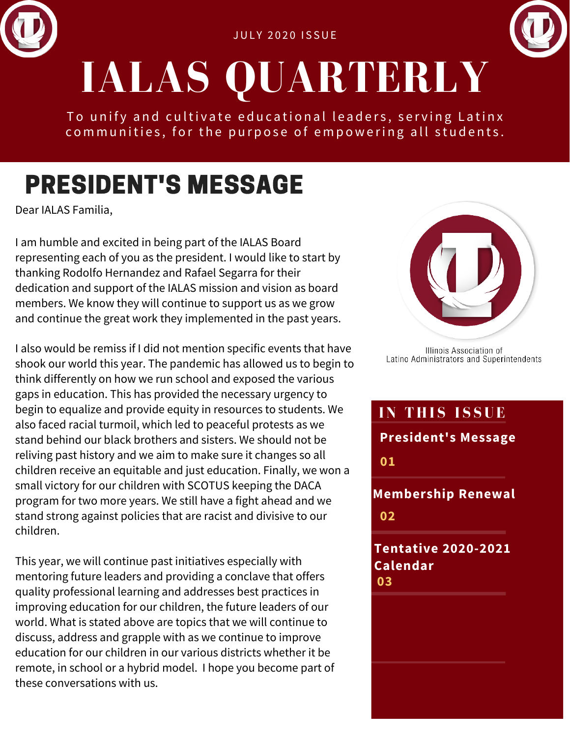



To unify and cultivate educational leaders, serving Latinx communities, for the purpose of empowering all students.

### PRESIDENT'S MESSAGE

Dear IALAS Familia,

I am humble and excited in being part of the IALAS Board representing each of you as the president. I would like to start by thanking Rodolfo Hernandez and Rafael Segarra for their dedication and support of the IALAS mission and vision as board members. We know they will continue to support us as we grow and continue the great work they implemented in the past years.

I also would be remiss if I did not mention specific events that have shook our world this year. The pandemic has allowed us to begin to think differently on how we run school and exposed the various gaps in education. This has provided the necessary urgency to begin to equalize and provide equity in resources to students. We also faced racial turmoil, which led to peaceful protests as we stand behind our black brothers and sisters. We should not be reliving past history and we aim to make sure it changes so all children receive an equitable and just education. Finally, we won a small victory for our children with SCOTUS keeping the DACA program for two more years. We still have a fight ahead and we stand strong against policies that are racist and divisive to our children.

This year, we will continue past initiatives especially with mentoring future leaders and providing a conclave that offers quality professional learning and addresses best practices in improving education for our children, the future leaders of our world. What is stated above are topics that we will continue to discuss, address and grapple with as we continue to improve education for our children in our various districts whether it be remote, in school or a hybrid model. I hope you become part of these conversations with us.



Illinois Association of Latino Administrators and Superintendents



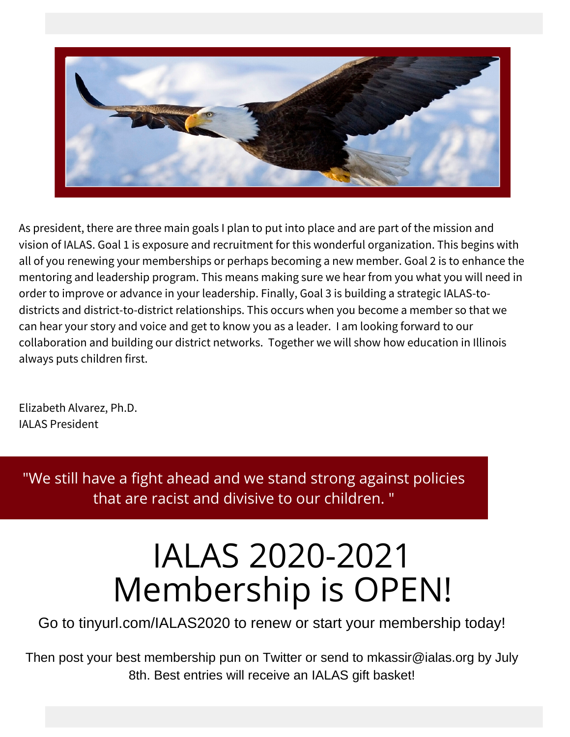

As president, there are three main goals I plan to put into place and are part of the mission and vision of IALAS. Goal 1 is exposure and recruitment for this wonderful organization. This begins with all of you renewing your memberships or perhaps becoming a new member. Goal 2 is to enhance the mentoring and leadership program. This means making sure we hear from you what you will need in order to improve or advance in your leadership. Finally, Goal 3 is building a strategic IALAS-todistricts and district-to-district relationships. This occurs when you become a member so that we can hear your story and voice and get to know you as a leader. I am looking forward to our collaboration and building our district networks. Together we will show how education in Illinois always puts children first.

Elizabeth Alvarez, Ph.D. IALAS President

"We still have a fight ahead and we stand strong against policies that are racist and divisive to our children. "

# IALAS 2020-2021 Membership is OPEN!

Go to tinyurl.com/IALAS2020 to renew or start your membership today!

Then post your best membership pun on Twitter or send to mkassir@ialas.org by July 8th. Best entries will receive an IALAS gift basket!